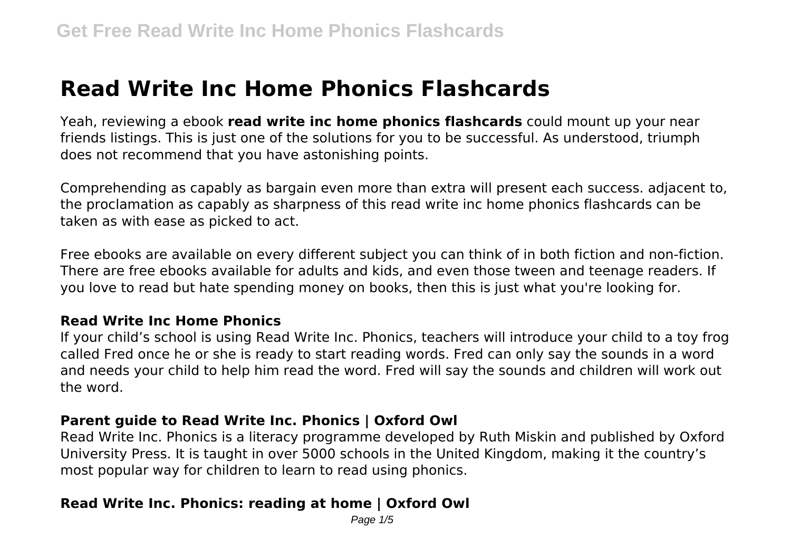# **Read Write Inc Home Phonics Flashcards**

Yeah, reviewing a ebook **read write inc home phonics flashcards** could mount up your near friends listings. This is just one of the solutions for you to be successful. As understood, triumph does not recommend that you have astonishing points.

Comprehending as capably as bargain even more than extra will present each success. adjacent to, the proclamation as capably as sharpness of this read write inc home phonics flashcards can be taken as with ease as picked to act.

Free ebooks are available on every different subject you can think of in both fiction and non-fiction. There are free ebooks available for adults and kids, and even those tween and teenage readers. If you love to read but hate spending money on books, then this is just what you're looking for.

#### **Read Write Inc Home Phonics**

If your child's school is using Read Write Inc. Phonics, teachers will introduce your child to a toy frog called Fred once he or she is ready to start reading words. Fred can only say the sounds in a word and needs your child to help him read the word. Fred will say the sounds and children will work out the word.

#### **Parent guide to Read Write Inc. Phonics | Oxford Owl**

Read Write Inc. Phonics is a literacy programme developed by Ruth Miskin and published by Oxford University Press. It is taught in over 5000 schools in the United Kingdom, making it the country's most popular way for children to learn to read using phonics.

#### **Read Write Inc. Phonics: reading at home | Oxford Owl**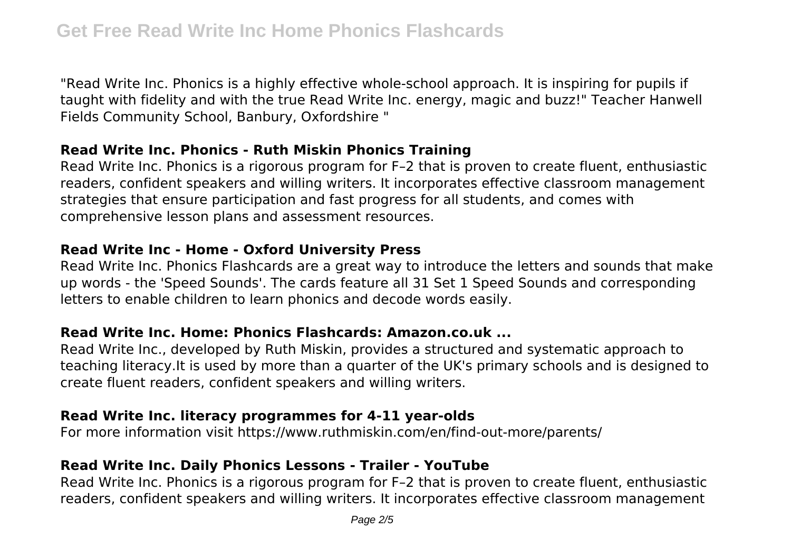"Read Write Inc. Phonics is a highly effective whole-school approach. It is inspiring for pupils if taught with fidelity and with the true Read Write Inc. energy, magic and buzz!" Teacher Hanwell Fields Community School, Banbury, Oxfordshire "

#### **Read Write Inc. Phonics - Ruth Miskin Phonics Training**

Read Write Inc. Phonics is a rigorous program for F–2 that is proven to create fluent, enthusiastic readers, confident speakers and willing writers. It incorporates effective classroom management strategies that ensure participation and fast progress for all students, and comes with comprehensive lesson plans and assessment resources.

## **Read Write Inc - Home - Oxford University Press**

Read Write Inc. Phonics Flashcards are a great way to introduce the letters and sounds that make up words - the 'Speed Sounds'. The cards feature all 31 Set 1 Speed Sounds and corresponding letters to enable children to learn phonics and decode words easily.

# **Read Write Inc. Home: Phonics Flashcards: Amazon.co.uk ...**

Read Write Inc., developed by Ruth Miskin, provides a structured and systematic approach to teaching literacy.It is used by more than a quarter of the UK's primary schools and is designed to create fluent readers, confident speakers and willing writers.

# **Read Write Inc. literacy programmes for 4-11 year-olds**

For more information visit https://www.ruthmiskin.com/en/find-out-more/parents/

# **Read Write Inc. Daily Phonics Lessons - Trailer - YouTube**

Read Write Inc. Phonics is a rigorous program for F–2 that is proven to create fluent, enthusiastic readers, confident speakers and willing writers. It incorporates effective classroom management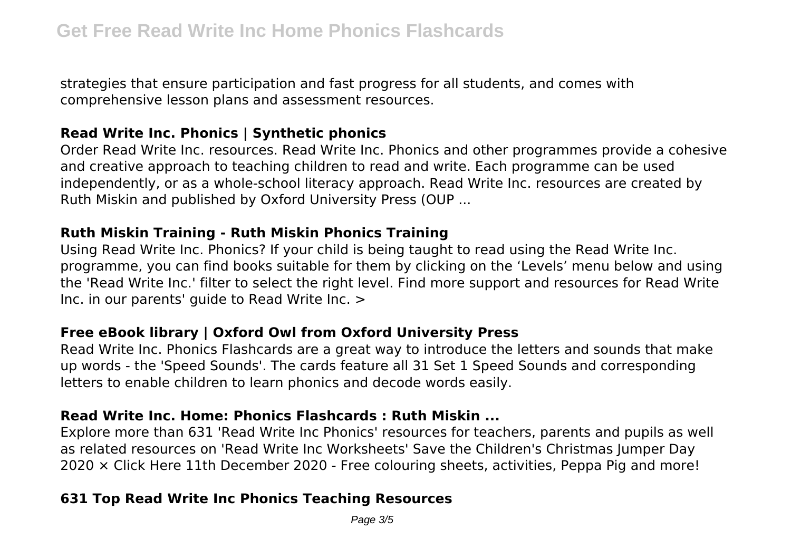strategies that ensure participation and fast progress for all students, and comes with comprehensive lesson plans and assessment resources.

#### **Read Write Inc. Phonics | Synthetic phonics**

Order Read Write Inc. resources. Read Write Inc. Phonics and other programmes provide a cohesive and creative approach to teaching children to read and write. Each programme can be used independently, or as a whole-school literacy approach. Read Write Inc. resources are created by Ruth Miskin and published by Oxford University Press (OUP ...

#### **Ruth Miskin Training - Ruth Miskin Phonics Training**

Using Read Write Inc. Phonics? If your child is being taught to read using the Read Write Inc. programme, you can find books suitable for them by clicking on the 'Levels' menu below and using the 'Read Write Inc.' filter to select the right level. Find more support and resources for Read Write Inc. in our parents' guide to Read Write Inc. >

# **Free eBook library | Oxford Owl from Oxford University Press**

Read Write Inc. Phonics Flashcards are a great way to introduce the letters and sounds that make up words - the 'Speed Sounds'. The cards feature all 31 Set 1 Speed Sounds and corresponding letters to enable children to learn phonics and decode words easily.

# **Read Write Inc. Home: Phonics Flashcards : Ruth Miskin ...**

Explore more than 631 'Read Write Inc Phonics' resources for teachers, parents and pupils as well as related resources on 'Read Write Inc Worksheets' Save the Children's Christmas Jumper Day 2020 × Click Here 11th December 2020 - Free colouring sheets, activities, Peppa Pig and more!

# **631 Top Read Write Inc Phonics Teaching Resources**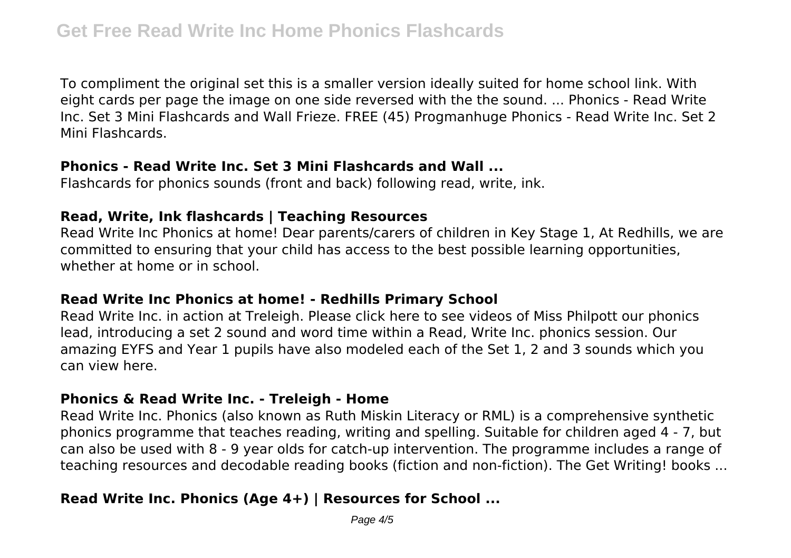To compliment the original set this is a smaller version ideally suited for home school link. With eight cards per page the image on one side reversed with the the sound. ... Phonics - Read Write Inc. Set 3 Mini Flashcards and Wall Frieze. FREE (45) Progmanhuge Phonics - Read Write Inc. Set 2 Mini Flashcards.

## **Phonics - Read Write Inc. Set 3 Mini Flashcards and Wall ...**

Flashcards for phonics sounds (front and back) following read, write, ink.

## **Read, Write, Ink flashcards | Teaching Resources**

Read Write Inc Phonics at home! Dear parents/carers of children in Key Stage 1, At Redhills, we are committed to ensuring that your child has access to the best possible learning opportunities, whether at home or in school.

#### **Read Write Inc Phonics at home! - Redhills Primary School**

Read Write Inc. in action at Treleigh. Please click here to see videos of Miss Philpott our phonics lead, introducing a set 2 sound and word time within a Read, Write Inc. phonics session. Our amazing EYFS and Year 1 pupils have also modeled each of the Set 1, 2 and 3 sounds which you can view here.

#### **Phonics & Read Write Inc. - Treleigh - Home**

Read Write Inc. Phonics (also known as Ruth Miskin Literacy or RML) is a comprehensive synthetic phonics programme that teaches reading, writing and spelling. Suitable for children aged 4 - 7, but can also be used with 8 - 9 year olds for catch-up intervention. The programme includes a range of teaching resources and decodable reading books (fiction and non-fiction). The Get Writing! books ...

# **Read Write Inc. Phonics (Age 4+) | Resources for School ...**